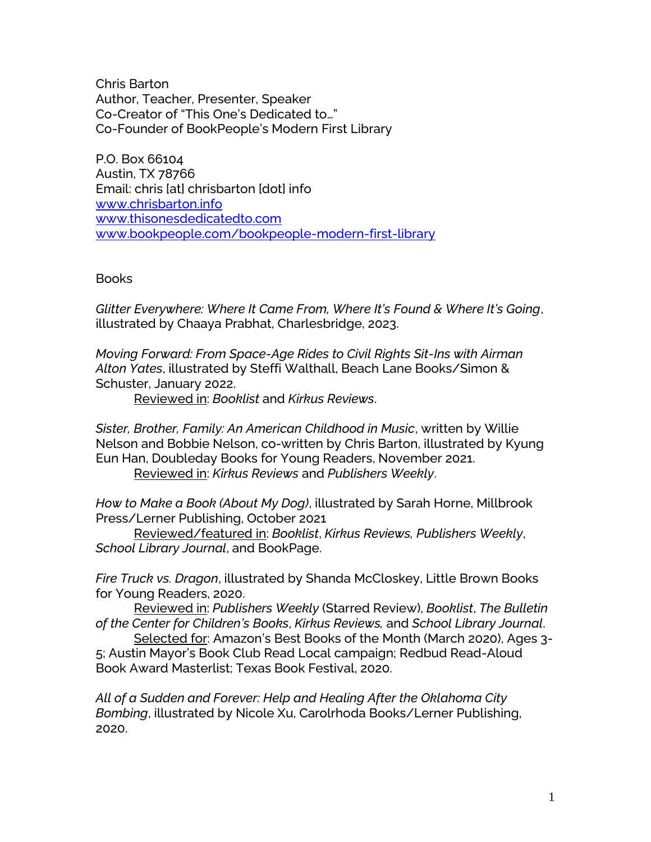Chris Barton Author, Teacher, Presenter, Speaker Co-Creator of "This One's Dedicated to…" Co-Founder of BookPeople's Modern First Library

P.O. Box 66104 Austin, TX 78766 Email: chris [at] chrisbarton [dot] info [www.chrisbarton.info](http://www.chrisbarton.info/) [www.thisonesdedicatedto.com](https://thisonesdedicatedto.com/) [www.bookpeople.com/bookpeople-modern-first-library](http://www.bookpeople.com/bookpeople-modern-first-library)

**Books** 

*Glitter Everywhere: Where It Came From, Where It's Found & Where It's Going*, illustrated by Chaaya Prabhat, Charlesbridge, 2023.

*Moving Forward: From Space-Age Rides to Civil Rights Sit-Ins with Airman Alton Yates*, illustrated by Steffi Walthall, Beach Lane Books/Simon & Schuster, January 2022.

Reviewed in: *Booklist* and *Kirkus Reviews*.

*Sister, Brother, Family: An American Childhood in Music*, written by Willie Nelson and Bobbie Nelson, co-written by Chris Barton, illustrated by Kyung Eun Han, Doubleday Books for Young Readers, November 2021. Reviewed in: *Kirkus Reviews* and *Publishers Weekly*.

*How to Make a Book (About My Dog)*, illustrated by Sarah Horne, Millbrook Press/Lerner Publishing, October 2021

Reviewed/featured in: *Booklist*, *Kirkus Reviews, Publishers Weekly*, *School Library Journal*, and BookPage.

*Fire Truck vs. Dragon*, illustrated by Shanda McCloskey, Little Brown Books for Young Readers, 2020.

Reviewed in: *Publishers Weekly* (Starred Review), *Booklist*, *The Bulletin of the Center for Children's Books*, *Kirkus Reviews,* and *School Library Journal*.

Selected for: Amazon's Best Books of the Month (March 2020), Ages 3- 5; Austin Mayor's Book Club Read Local campaign; Redbud Read-Aloud Book Award Masterlist; Texas Book Festival, 2020.

*All of a Sudden and Forever: Help and Healing After the Oklahoma City Bombing*, illustrated by Nicole Xu, Carolrhoda Books/Lerner Publishing, 2020.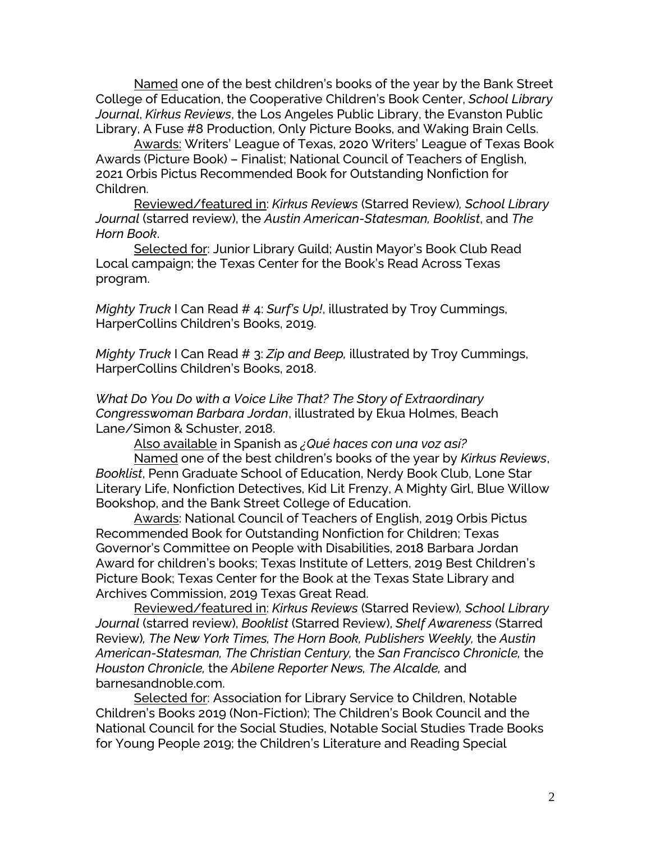Named one of the best children's books of the year by the Bank Street College of Education, the Cooperative Children's Book Center, *School Library Journal*, *Kirkus Reviews*, the Los Angeles Public Library, the Evanston Public Library, A Fuse #8 Production, Only Picture Books, and Waking Brain Cells.

Awards: Writers' League of Texas, 2020 Writers' League of Texas Book Awards (Picture Book) – Finalist; National Council of Teachers of English, 2021 Orbis Pictus Recommended Book for Outstanding Nonfiction for Children.

Reviewed/featured in: *Kirkus Reviews* (Starred Review)*, School Library Journal* (starred review), the *Austin American-Statesman, Booklist*, and *The Horn Book*.

Selected for: Junior Library Guild; Austin Mayor's Book Club Read Local campaign; the Texas Center for the Book's Read Across Texas program.

*Mighty Truck* I Can Read # 4: *Surf's Up!*, illustrated by Troy Cummings, HarperCollins Children's Books, 2019.

*Mighty Truck* I Can Read # 3: *Zip and Beep,* illustrated by Troy Cummings, HarperCollins Children's Books, 2018.

*What Do You Do with a Voice Like That? The Story of Extraordinary Congresswoman Barbara Jordan*, illustrated by Ekua Holmes, Beach Lane/Simon & Schuster, 2018.

Also available in Spanish as *¿Qué haces con una voz así?*

Named one of the best children's books of the year by *Kirkus Reviews*, *Booklist*, Penn Graduate School of Education, Nerdy Book Club, Lone Star Literary Life, Nonfiction Detectives, Kid Lit Frenzy, A Mighty Girl, Blue Willow Bookshop, and the Bank Street College of Education.

Awards: National Council of Teachers of English, 2019 Orbis Pictus Recommended Book for Outstanding Nonfiction for Children; Texas Governor's Committee on People with Disabilities, 2018 Barbara Jordan Award for children's books; Texas Institute of Letters, 2019 Best Children's Picture Book; Texas Center for the Book at the Texas State Library and Archives Commission, 2019 Texas Great Read.

Reviewed/featured in: *Kirkus Reviews* (Starred Review)*, School Library Journal* (starred review), *Booklist* (Starred Review), *Shelf Awareness* (Starred Review)*, The New York Times, The Horn Book, Publishers Weekly,* the *Austin American-Statesman, The Christian Century,* the *San Francisco Chronicle,* the *Houston Chronicle,* the *Abilene Reporter News, The Alcalde,* and barnesandnoble.com.

Selected for: Association for Library Service to Children, Notable Children's Books 2019 (Non-Fiction); The Children's Book Council and the National Council for the Social Studies, Notable Social Studies Trade Books for Young People 2019; the Children's Literature and Reading Special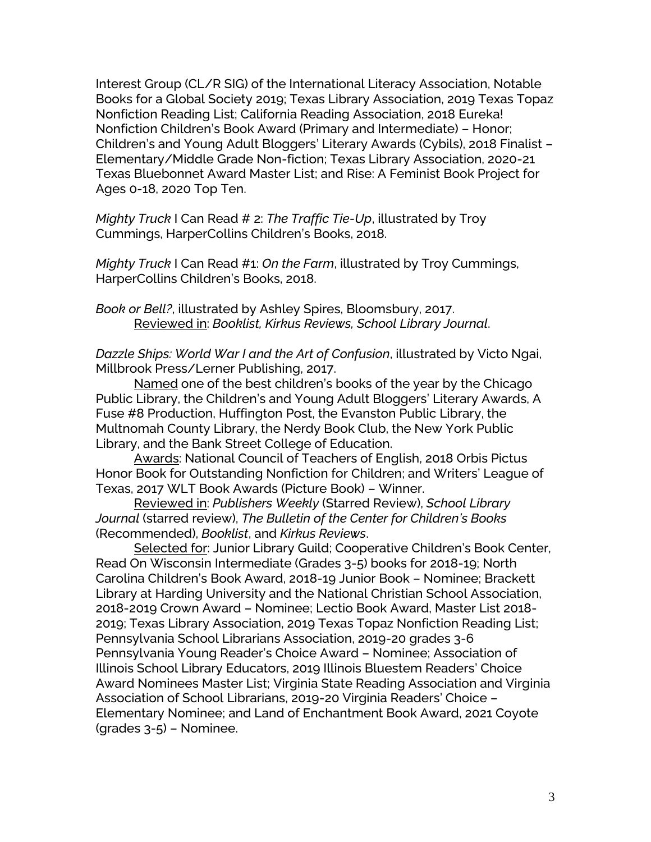Interest Group (CL/R SIG) of the International Literacy Association, Notable Books for a Global Society 2019; Texas Library Association, 2019 Texas Topaz Nonfiction Reading List; California Reading Association, 2018 Eureka! Nonfiction Children's Book Award (Primary and Intermediate) – Honor; Children's and Young Adult Bloggers' Literary Awards (Cybils), 2018 Finalist – Elementary/Middle Grade Non-fiction; Texas Library Association, 2020-21 Texas Bluebonnet Award Master List; and Rise: A Feminist Book Project for Ages 0-18, 2020 Top Ten.

*Mighty Truck* I Can Read # 2: *The Traffic Tie-Up*, illustrated by Troy Cummings, HarperCollins Children's Books, 2018.

*Mighty Truck* I Can Read #1: *On the Farm*, illustrated by Troy Cummings, HarperCollins Children's Books, 2018.

*Book or Bell?*, illustrated by Ashley Spires, Bloomsbury, 2017. Reviewed in: *Booklist, Kirkus Reviews, School Library Journal*.

*Dazzle Ships: World War I and the Art of Confusion*, illustrated by Victo Ngai, Millbrook Press/Lerner Publishing, 2017.

Named one of the best children's books of the year by the Chicago Public Library, the Children's and Young Adult Bloggers' Literary Awards, A Fuse #8 Production, Huffington Post, the Evanston Public Library, the Multnomah County Library, the Nerdy Book Club, the New York Public Library, and the Bank Street College of Education.

Awards: National Council of Teachers of English, 2018 Orbis Pictus Honor Book for Outstanding Nonfiction for Children; and Writers' League of Texas, 2017 WLT Book Awards (Picture Book) – Winner.

Reviewed in: *Publishers Weekly* (Starred Review), *School Library Journal* (starred review), *The Bulletin of the Center for Children's Books* (Recommended), *Booklist*, and *Kirkus Reviews*.

Selected for: Junior Library Guild; Cooperative Children's Book Center, Read On Wisconsin Intermediate (Grades 3-5) books for 2018-19; North Carolina Children's Book Award, 2018-19 Junior Book – Nominee; Brackett Library at Harding University and the National Christian School Association, 2018-2019 Crown Award – Nominee; Lectio Book Award, Master List 2018- 2019; Texas Library Association, 2019 Texas Topaz Nonfiction Reading List; Pennsylvania School Librarians Association, 2019-20 grades 3-6 Pennsylvania Young Reader's Choice Award – Nominee; Association of Illinois School Library Educators, 2019 Illinois Bluestem Readers' Choice Award Nominees Master List; Virginia State Reading Association and Virginia Association of School Librarians, 2019-20 Virginia Readers' Choice – Elementary Nominee; and Land of Enchantment Book Award, 2021 Coyote (grades 3-5) – Nominee.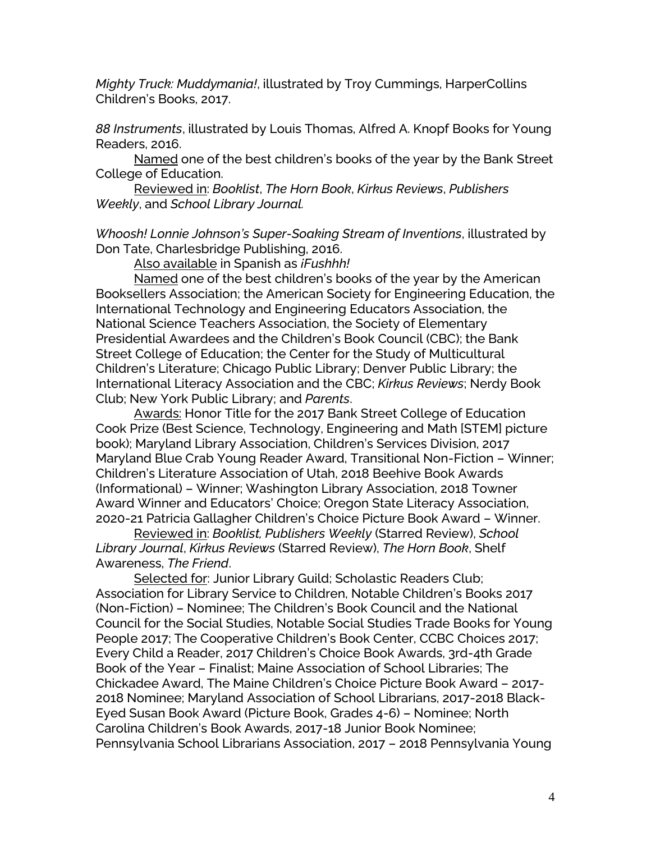*Mighty Truck: Muddymania!*, illustrated by Troy Cummings, HarperCollins Children's Books, 2017.

*88 Instruments*, illustrated by Louis Thomas, Alfred A. Knopf Books for Young Readers, 2016.

Named one of the best children's books of the year by the Bank Street College of Education.

Reviewed in: *Booklist*, *The Horn Book*, *Kirkus Reviews*, *Publishers Weekly*, and *School Library Journal.*

*Whoosh! Lonnie Johnson's Super-Soaking Stream of Inventions*, illustrated by Don Tate, Charlesbridge Publishing, 2016.

Also available in Spanish as *¡Fushhh!*

Named one of the best children's books of the year by the American Booksellers Association; the American Society for Engineering Education, the International Technology and Engineering Educators Association, the National Science Teachers Association, the Society of Elementary Presidential Awardees and the Children's Book Council (CBC); the Bank Street College of Education; the Center for the Study of Multicultural Children's Literature; Chicago Public Library; Denver Public Library; the International Literacy Association and the CBC; *Kirkus Reviews*; Nerdy Book Club; New York Public Library; and *Parents*.

Awards: Honor Title for the 2017 Bank Street College of Education Cook Prize (Best Science, Technology, Engineering and Math [STEM] picture book); Maryland Library Association, Children's Services Division, 2017 Maryland Blue Crab Young Reader Award, Transitional Non-Fiction – Winner; Children's Literature Association of Utah, 2018 Beehive Book Awards (Informational) – Winner; Washington Library Association, 2018 Towner Award Winner and Educators' Choice; Oregon State Literacy Association, 2020-21 Patricia Gallagher Children's Choice Picture Book Award – Winner.

Reviewed in: *Booklist, Publishers Weekly* (Starred Review), *School Library Journal*, *Kirkus Reviews* (Starred Review), *The Horn Book*, Shelf Awareness, *The Friend*.

Selected for: Junior Library Guild; Scholastic Readers Club; Association for Library Service to Children, Notable Children's Books 2017 (Non-Fiction) – Nominee; The Children's Book Council and the National Council for the Social Studies, Notable Social Studies Trade Books for Young People 2017; The Cooperative Children's Book Center, CCBC Choices 2017; Every Child a Reader, 2017 Children's Choice Book Awards, 3rd-4th Grade Book of the Year – Finalist; Maine Association of School Libraries; The Chickadee Award, The Maine Children's Choice Picture Book Award – 2017- 2018 Nominee; Maryland Association of School Librarians, 2017-2018 Black-Eyed Susan Book Award (Picture Book, Grades 4-6) – Nominee; North Carolina Children's Book Awards, 2017-18 Junior Book Nominee; Pennsylvania School Librarians Association, 2017 – 2018 Pennsylvania Young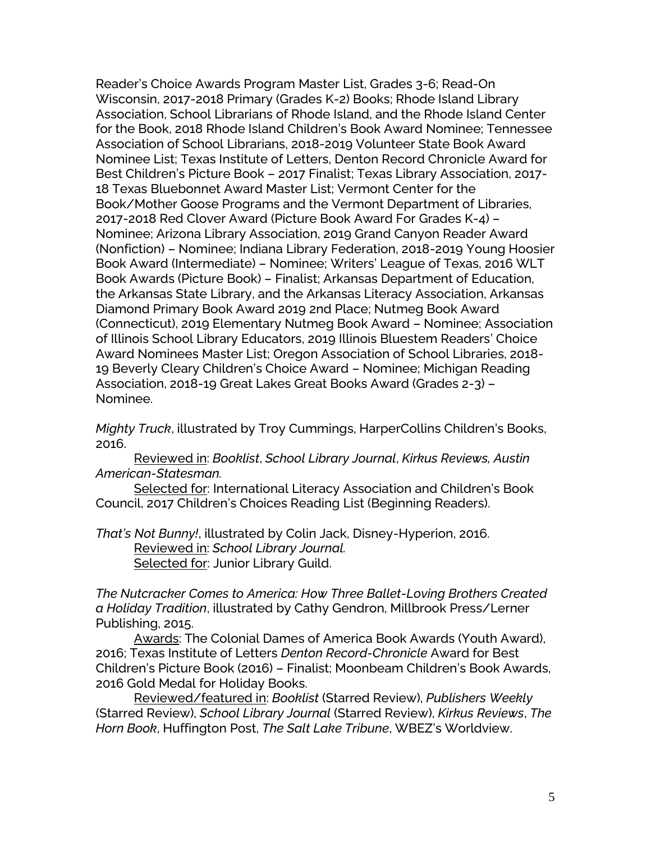Reader's Choice Awards Program Master List, Grades 3-6; Read-On Wisconsin, 2017-2018 Primary (Grades K-2) Books; Rhode Island Library Association, School Librarians of Rhode Island, and the Rhode Island Center for the Book, 2018 Rhode Island Children's Book Award Nominee; Tennessee Association of School Librarians, 2018-2019 Volunteer State Book Award Nominee List; Texas Institute of Letters, Denton Record Chronicle Award for Best Children's Picture Book – 2017 Finalist; Texas Library Association, 2017- 18 Texas Bluebonnet Award Master List; Vermont Center for the Book/Mother Goose Programs and the Vermont Department of Libraries, 2017-2018 Red Clover Award (Picture Book Award For Grades K-4) – Nominee; Arizona Library Association, 2019 Grand Canyon Reader Award (Nonfiction) – Nominee; Indiana Library Federation, 2018-2019 Young Hoosier Book Award (Intermediate) – Nominee; Writers' League of Texas, 2016 WLT Book Awards (Picture Book) – Finalist; Arkansas Department of Education, the Arkansas State Library, and the Arkansas Literacy Association, Arkansas Diamond Primary Book Award 2019 2nd Place; Nutmeg Book Award (Connecticut), 2019 Elementary Nutmeg Book Award – Nominee; Association of Illinois School Library Educators, 2019 Illinois Bluestem Readers' Choice Award Nominees Master List; Oregon Association of School Libraries, 2018- 19 Beverly Cleary Children's Choice Award – Nominee; Michigan Reading Association, 2018-19 Great Lakes Great Books Award (Grades 2-3) – Nominee.

*Mighty Truck*, illustrated by Troy Cummings, HarperCollins Children's Books, 2016.

Reviewed in: *Booklist*, *School Library Journal*, *Kirkus Reviews, Austin American-Statesman.*

Selected for: International Literacy Association and Children's Book Council, 2017 Children's Choices Reading List (Beginning Readers).

*That's Not Bunny!*, illustrated by Colin Jack, Disney-Hyperion, 2016. Reviewed in: *School Library Journal.*  Selected for: Junior Library Guild.

*The Nutcracker Comes to America: How Three Ballet-Loving Brothers Created a Holiday Tradition*, illustrated by Cathy Gendron, Millbrook Press/Lerner Publishing, 2015.

Awards: The Colonial Dames of America Book Awards (Youth Award), 2016; Texas Institute of Letters *Denton Record-Chronicle* Award for Best Children's Picture Book (2016) – Finalist; Moonbeam Children's Book Awards, 2016 Gold Medal for Holiday Books.

Reviewed/featured in: *Booklist* (Starred Review), *Publishers Weekly* (Starred Review), *School Library Journal* (Starred Review), *Kirkus Reviews*, *The Horn Book*, Huffington Post, *The Salt Lake Tribune*, WBEZ's Worldview.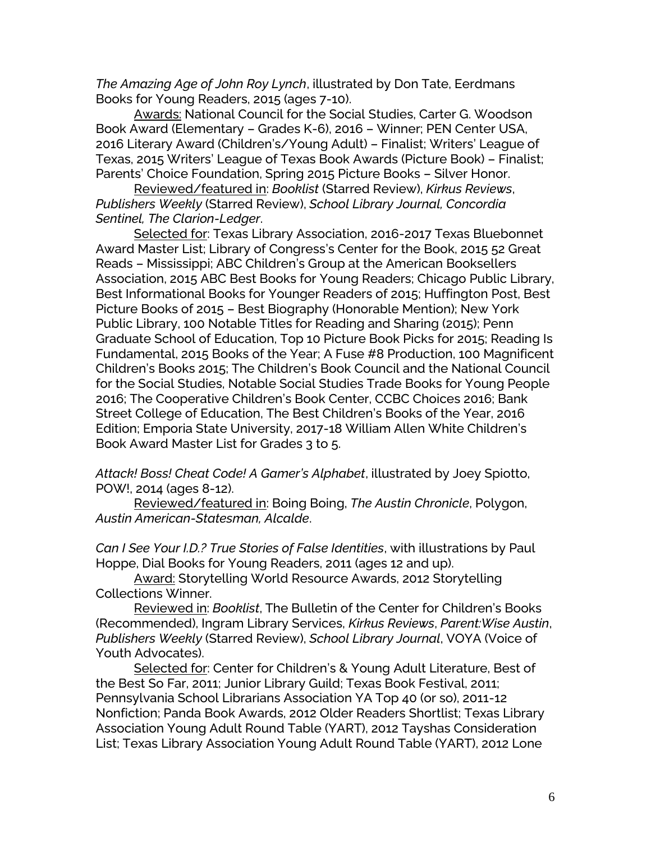*The Amazing Age of John Roy Lynch*, illustrated by Don Tate, Eerdmans Books for Young Readers, 2015 (ages 7-10).

Awards: National Council for the Social Studies, Carter G. Woodson Book Award (Elementary – Grades K-6), 2016 – Winner; PEN Center USA, 2016 Literary Award (Children's/Young Adult) – Finalist; Writers' League of Texas, 2015 Writers' League of Texas Book Awards (Picture Book) – Finalist; Parents' Choice Foundation, Spring 2015 Picture Books – Silver Honor.

Reviewed/featured in: *Booklist* (Starred Review), *Kirkus Reviews*, *Publishers Weekly* (Starred Review), *School Library Journal, Concordia Sentinel, The Clarion-Ledger*.

Selected for: Texas Library Association, 2016-2017 Texas Bluebonnet Award Master List; Library of Congress's Center for the Book, 2015 52 Great Reads – Mississippi; ABC Children's Group at the American Booksellers Association, 2015 ABC Best Books for Young Readers; Chicago Public Library, Best Informational Books for Younger Readers of 2015; Huffington Post, Best Picture Books of 2015 – Best Biography (Honorable Mention); New York Public Library, 100 Notable Titles for Reading and Sharing (2015); Penn Graduate School of Education, Top 10 Picture Book Picks for 2015; Reading Is Fundamental, 2015 Books of the Year; A Fuse #8 Production, 100 Magnificent Children's Books 2015; The Children's Book Council and the National Council for the Social Studies, Notable Social Studies Trade Books for Young People 2016; The Cooperative Children's Book Center, CCBC Choices 2016; Bank Street College of Education, The Best Children's Books of the Year, 2016 Edition; Emporia State University, 2017-18 William Allen White Children's Book Award Master List for Grades 3 to 5.

*Attack! Boss! Cheat Code! A Gamer's Alphabet*, illustrated by Joey Spiotto, POW!, 2014 (ages 8-12).

Reviewed/featured in: Boing Boing, *The Austin Chronicle*, Polygon, *Austin American-Statesman, Alcalde*.

*Can I See Your I.D.? True Stories of False Identities*, with illustrations by Paul Hoppe, Dial Books for Young Readers, 2011 (ages 12 and up).

Award: Storytelling World Resource Awards, 2012 Storytelling Collections Winner.

Reviewed in: *Booklist*, The Bulletin of the Center for Children's Books (Recommended), Ingram Library Services, *Kirkus Reviews*, *Parent:Wise Austin*, *Publishers Weekly* (Starred Review), *School Library Journal*, VOYA (Voice of Youth Advocates).

Selected for: Center for Children's & Young Adult Literature, Best of the Best So Far, 2011; Junior Library Guild; Texas Book Festival, 2011; Pennsylvania School Librarians Association YA Top 40 (or so), 2011-12 Nonfiction; Panda Book Awards, 2012 Older Readers Shortlist; Texas Library Association Young Adult Round Table (YART), 2012 Tayshas Consideration List; Texas Library Association Young Adult Round Table (YART), 2012 Lone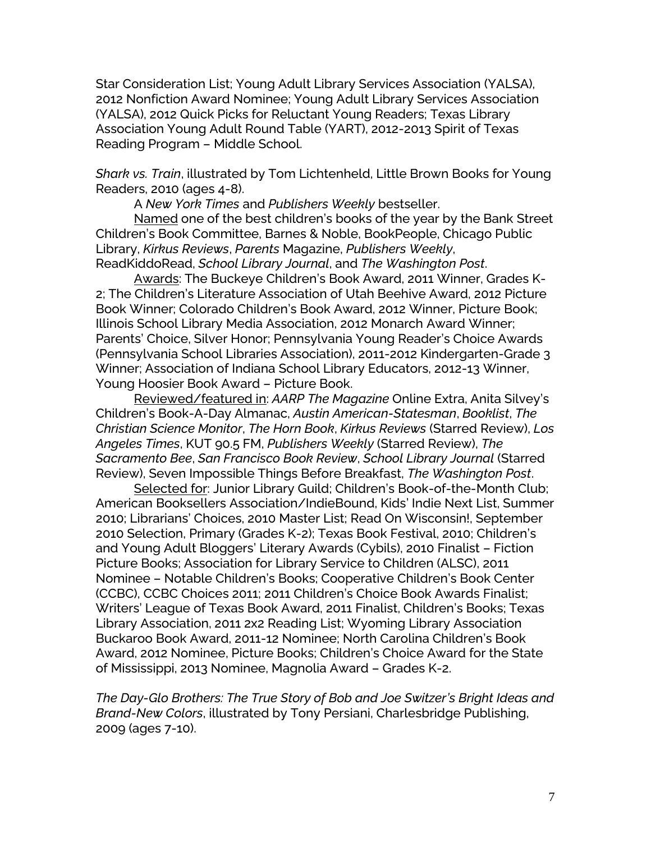Star Consideration List; Young Adult Library Services Association (YALSA), 2012 Nonfiction Award Nominee; Young Adult Library Services Association (YALSA), 2012 Quick Picks for Reluctant Young Readers; Texas Library Association Young Adult Round Table (YART), 2012-2013 Spirit of Texas Reading Program – Middle School.

*Shark vs. Train*, illustrated by Tom Lichtenheld, Little Brown Books for Young Readers, 2010 (ages 4-8).

A *New York Times* and *Publishers Weekly* bestseller.

Named one of the best children's books of the year by the Bank Street Children's Book Committee, Barnes & Noble, BookPeople, Chicago Public Library, *Kirkus Reviews*, *Parents* Magazine, *Publishers Weekly*, ReadKiddoRead, *School Library Journal*, and *The Washington Post*.

Awards: The Buckeye Children's Book Award, 2011 Winner, Grades K-2; The Children's Literature Association of Utah Beehive Award, 2012 Picture Book Winner; Colorado Children's Book Award, 2012 Winner, Picture Book; Illinois School Library Media Association, 2012 Monarch Award Winner; Parents' Choice, Silver Honor; Pennsylvania Young Reader's Choice Awards (Pennsylvania School Libraries Association), 2011-2012 Kindergarten-Grade 3 Winner; Association of Indiana School Library Educators, 2012-13 Winner, Young Hoosier Book Award – Picture Book.

Reviewed/featured in: *AARP The Magazine* Online Extra, Anita Silvey's Children's Book-A-Day Almanac, *Austin American-Statesman*, *Booklist*, *The Christian Science Monitor*, *The Horn Book*, *Kirkus Reviews* (Starred Review), *Los Angeles Times*, KUT 90.5 FM, *Publishers Weekly* (Starred Review), *The Sacramento Bee*, *San Francisco Book Review*, *School Library Journal* (Starred Review), Seven Impossible Things Before Breakfast, *The Washington Post*.

Selected for: Junior Library Guild; Children's Book-of-the-Month Club; American Booksellers Association/IndieBound, Kids' Indie Next List, Summer 2010; Librarians' Choices, 2010 Master List; Read On Wisconsin!, September 2010 Selection, Primary (Grades K-2); Texas Book Festival, 2010; Children's and Young Adult Bloggers' Literary Awards (Cybils), 2010 Finalist – Fiction Picture Books; Association for Library Service to Children (ALSC), 2011 Nominee – Notable Children's Books; Cooperative Children's Book Center (CCBC), CCBC Choices 2011; 2011 Children's Choice Book Awards Finalist; Writers' League of Texas Book Award, 2011 Finalist, Children's Books; Texas Library Association, 2011 2x2 Reading List; Wyoming Library Association Buckaroo Book Award, 2011-12 Nominee; North Carolina Children's Book Award, 2012 Nominee, Picture Books; Children's Choice Award for the State of Mississippi, 2013 Nominee, Magnolia Award – Grades K-2.

*The Day-Glo Brothers: The True Story of Bob and Joe Switzer's Bright Ideas and Brand-New Colors*, illustrated by Tony Persiani, Charlesbridge Publishing, 2009 (ages 7-10).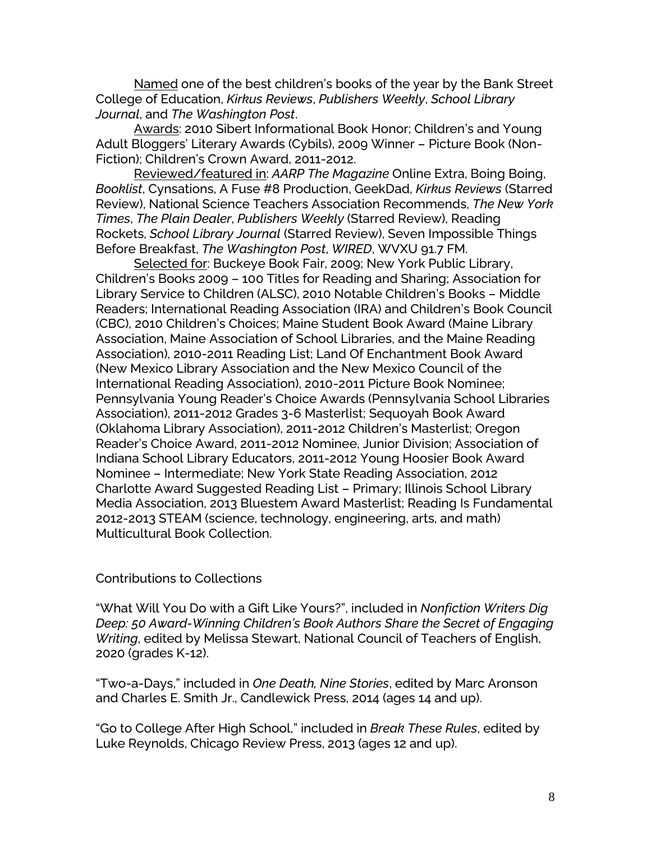Named one of the best children's books of the year by the Bank Street College of Education, *Kirkus Reviews*, *Publishers Weekly*, *School Library Journal*, and *The Washington Post*.

Awards: 2010 Sibert Informational Book Honor; Children's and Young Adult Bloggers' Literary Awards (Cybils), 2009 Winner – Picture Book (Non-Fiction); Children's Crown Award, 2011-2012.

Reviewed/featured in: *AARP The Magazine* Online Extra, Boing Boing, *Booklist*, Cynsations, A Fuse #8 Production, GeekDad, *Kirkus Reviews* (Starred Review), National Science Teachers Association Recommends, *The New York Times*, *The Plain Dealer*, *Publishers Weekly* (Starred Review), Reading Rockets, *School Library Journal* (Starred Review), Seven Impossible Things Before Breakfast, *The Washington Post*, *WIRED*, WVXU 91.7 FM.

Selected for: Buckeye Book Fair, 2009; New York Public Library, Children's Books 2009 – 100 Titles for Reading and Sharing; Association for Library Service to Children (ALSC), 2010 Notable Children's Books – Middle Readers; International Reading Association (IRA) and Children's Book Council (CBC), 2010 Children's Choices; Maine Student Book Award (Maine Library Association, Maine Association of School Libraries, and the Maine Reading Association), 2010-2011 Reading List; Land Of Enchantment Book Award (New Mexico Library Association and the New Mexico Council of the International Reading Association), 2010-2011 Picture Book Nominee; Pennsylvania Young Reader's Choice Awards (Pennsylvania School Libraries Association), 2011-2012 Grades 3-6 Masterlist; Sequoyah Book Award (Oklahoma Library Association), 2011-2012 Children's Masterlist; Oregon Reader's Choice Award, 2011-2012 Nominee, Junior Division; Association of Indiana School Library Educators, 2011-2012 Young Hoosier Book Award Nominee – Intermediate; New York State Reading Association, 2012 Charlotte Award Suggested Reading List – Primary; Illinois School Library Media Association, 2013 Bluestem Award Masterlist; Reading Is Fundamental 2012-2013 STEAM (science, technology, engineering, arts, and math) Multicultural Book Collection.

Contributions to Collections

"What Will You Do with a Gift Like Yours?", included in *Nonfiction Writers Dig Deep: 50 Award-Winning Children's Book Authors Share the Secret of Engaging Writing*, edited by Melissa Stewart, National Council of Teachers of English, 2020 (grades K-12).

"Two-a-Days," included in *One Death, Nine Stories*, edited by Marc Aronson and Charles E. Smith Jr., Candlewick Press, 2014 (ages 14 and up).

"Go to College After High School," included in *Break These Rules*, edited by Luke Reynolds, Chicago Review Press, 2013 (ages 12 and up).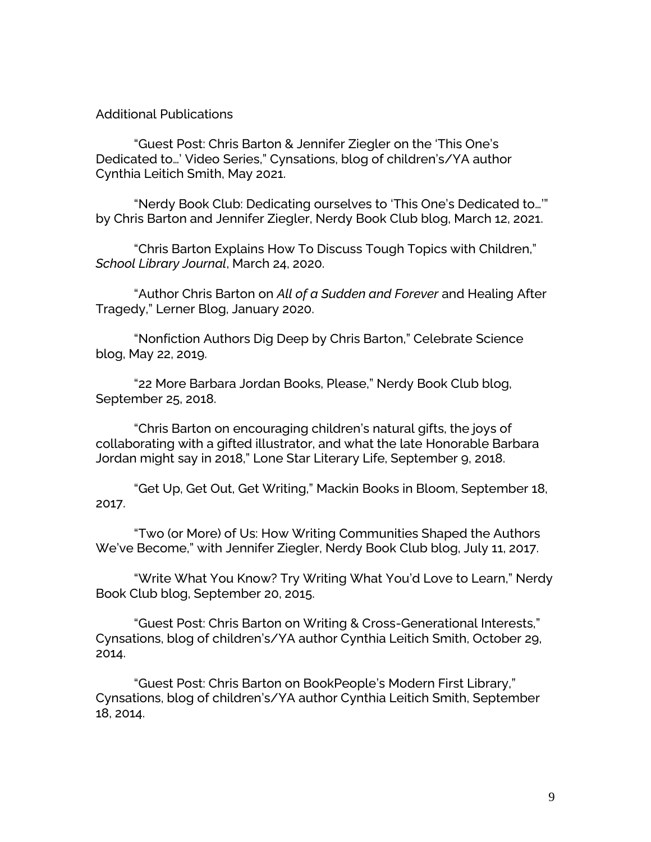## Additional Publications

"Guest Post: Chris Barton & Jennifer Ziegler on the 'This One's Dedicated to…' Video Series," Cynsations, blog of children's/YA author Cynthia Leitich Smith, May 2021.

"Nerdy Book Club: Dedicating ourselves to 'This One's Dedicated to…'" by Chris Barton and Jennifer Ziegler, Nerdy Book Club blog, March 12, 2021.

"Chris Barton Explains How To Discuss Tough Topics with Children," *School Library Journal*, March 24, 2020.

"Author Chris Barton on *All of a Sudden and Forever* and Healing After Tragedy," Lerner Blog, January 2020.

"Nonfiction Authors Dig Deep by Chris Barton," Celebrate Science blog, May 22, 2019.

"22 More Barbara Jordan Books, Please," Nerdy Book Club blog, September 25, 2018.

"Chris Barton on encouraging children's natural gifts, the joys of collaborating with a gifted illustrator, and what the late Honorable Barbara Jordan might say in 2018," Lone Star Literary Life, September 9, 2018.

"Get Up, Get Out, Get Writing," Mackin Books in Bloom, September 18, 2017.

"Two (or More) of Us: How Writing Communities Shaped the Authors We've Become," with Jennifer Ziegler, Nerdy Book Club blog, July 11, 2017.

"Write What You Know? Try Writing What You'd Love to Learn," Nerdy Book Club blog, September 20, 2015.

"Guest Post: Chris Barton on Writing & Cross-Generational Interests," Cynsations, blog of children's/YA author Cynthia Leitich Smith, October 29, 2014.

"Guest Post: Chris Barton on BookPeople's Modern First Library," Cynsations, blog of children's/YA author Cynthia Leitich Smith, September 18, 2014.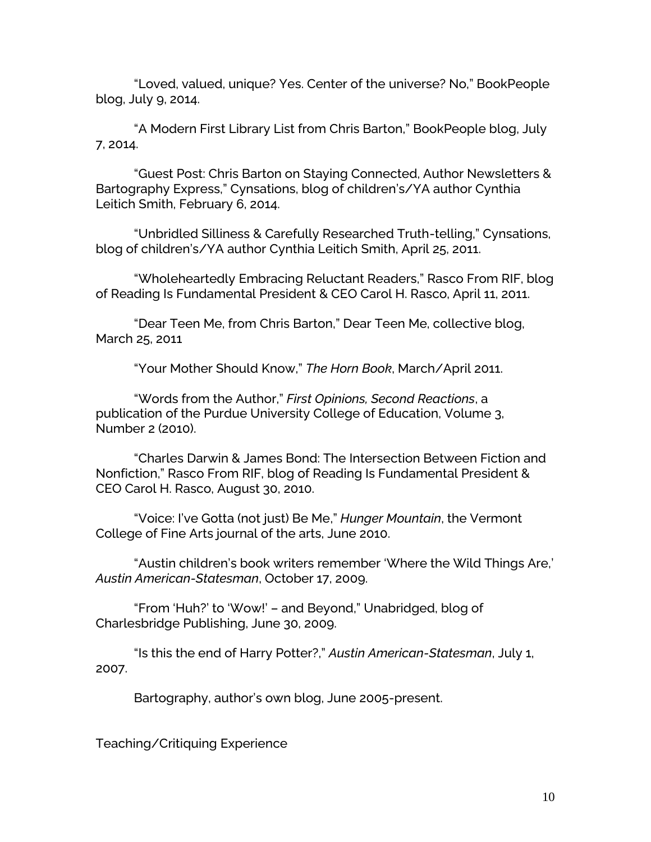"Loved, valued, unique? Yes. Center of the universe? No," BookPeople blog, July 9, 2014.

"A Modern First Library List from Chris Barton," BookPeople blog, July 7, 2014.

"Guest Post: Chris Barton on Staying Connected, Author Newsletters & Bartography Express," Cynsations, blog of children's/YA author Cynthia Leitich Smith, February 6, 2014.

"Unbridled Silliness & Carefully Researched Truth-telling," Cynsations, blog of children's/YA author Cynthia Leitich Smith, April 25, 2011.

"Wholeheartedly Embracing Reluctant Readers," Rasco From RIF, blog of Reading Is Fundamental President & CEO Carol H. Rasco, April 11, 2011.

"Dear Teen Me, from Chris Barton," Dear Teen Me, collective blog, March 25, 2011

"Your Mother Should Know," *The Horn Book*, March/April 2011.

"Words from the Author," *First Opinions, Second Reactions*, a publication of the Purdue University College of Education, Volume 3, Number 2 (2010).

"Charles Darwin & James Bond: The Intersection Between Fiction and Nonfiction," Rasco From RIF, blog of Reading Is Fundamental President & CEO Carol H. Rasco, August 30, 2010.

"Voice: I've Gotta (not just) Be Me," *Hunger Mountain*, the Vermont College of Fine Arts journal of the arts, June 2010.

"Austin children's book writers remember 'Where the Wild Things Are,' *Austin American-Statesman*, October 17, 2009.

"From 'Huh?' to 'Wow!' – and Beyond," Unabridged, blog of Charlesbridge Publishing, June 30, 2009.

"Is this the end of Harry Potter?," *Austin American-Statesman*, July 1, 2007.

Bartography, author's own blog, June 2005-present.

Teaching/Critiquing Experience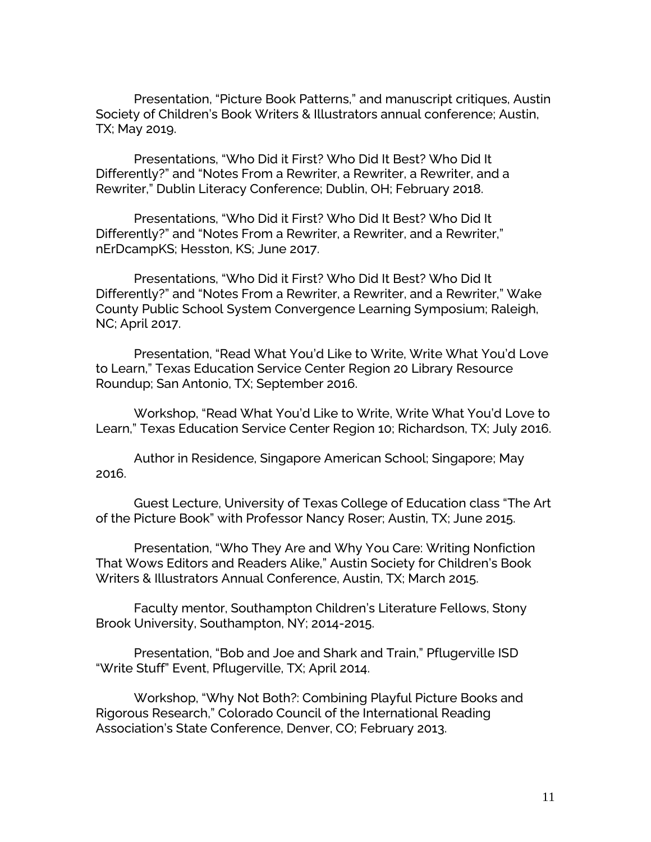Presentation, "Picture Book Patterns," and manuscript critiques, Austin Society of Children's Book Writers & Illustrators annual conference; Austin, TX; May 2019.

Presentations, "Who Did it First? Who Did It Best? Who Did It Differently?" and "Notes From a Rewriter, a Rewriter, a Rewriter, and a Rewriter," Dublin Literacy Conference; Dublin, OH; February 2018.

Presentations, "Who Did it First? Who Did It Best? Who Did It Differently?" and "Notes From a Rewriter, a Rewriter, and a Rewriter," nErDcampKS; Hesston, KS; June 2017.

Presentations, "Who Did it First? Who Did It Best? Who Did It Differently?" and "Notes From a Rewriter, a Rewriter, and a Rewriter," Wake County Public School System Convergence Learning Symposium; Raleigh, NC; April 2017.

Presentation, "Read What You'd Like to Write, Write What You'd Love to Learn," Texas Education Service Center Region 20 Library Resource Roundup; San Antonio, TX; September 2016.

Workshop, "Read What You'd Like to Write, Write What You'd Love to Learn," Texas Education Service Center Region 10; Richardson, TX; July 2016.

Author in Residence, Singapore American School; Singapore; May 2016.

Guest Lecture, University of Texas College of Education class "The Art of the Picture Book" with Professor Nancy Roser; Austin, TX; June 2015.

Presentation, "Who They Are and Why You Care: Writing Nonfiction That Wows Editors and Readers Alike," Austin Society for Children's Book Writers & Illustrators Annual Conference, Austin, TX; March 2015.

Faculty mentor, Southampton Children's Literature Fellows, Stony Brook University, Southampton, NY; 2014-2015.

Presentation, "Bob and Joe and Shark and Train," Pflugerville ISD "Write Stuff" Event, Pflugerville, TX; April 2014.

Workshop, "Why Not Both?: Combining Playful Picture Books and Rigorous Research," Colorado Council of the International Reading Association's State Conference, Denver, CO; February 2013.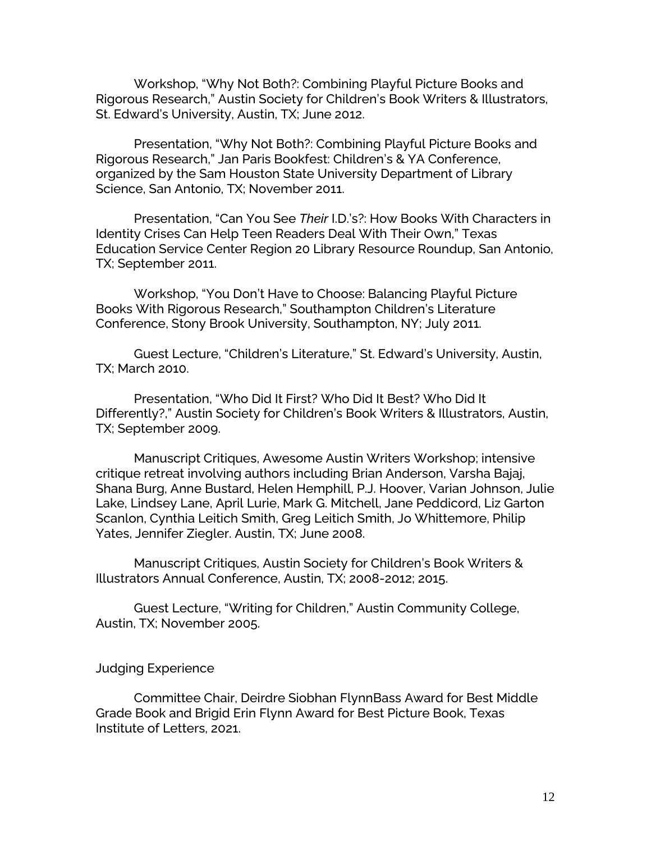Workshop, "Why Not Both?: Combining Playful Picture Books and Rigorous Research," Austin Society for Children's Book Writers & Illustrators, St. Edward's University, Austin, TX; June 2012.

Presentation, "Why Not Both?: Combining Playful Picture Books and Rigorous Research," Jan Paris Bookfest: Children's & YA Conference, organized by the Sam Houston State University Department of Library Science, San Antonio, TX; November 2011.

Presentation, "Can You See *Their* I.D.'s?: How Books With Characters in Identity Crises Can Help Teen Readers Deal With Their Own," Texas Education Service Center Region 20 Library Resource Roundup, San Antonio, TX; September 2011.

Workshop, "You Don't Have to Choose: Balancing Playful Picture Books With Rigorous Research," Southampton Children's Literature Conference, Stony Brook University, Southampton, NY; July 2011.

Guest Lecture, "Children's Literature," St. Edward's University, Austin, TX; March 2010.

Presentation, "Who Did It First? Who Did It Best? Who Did It Differently?," Austin Society for Children's Book Writers & Illustrators, Austin, TX; September 2009.

Manuscript Critiques, Awesome Austin Writers Workshop; intensive critique retreat involving authors including Brian Anderson, Varsha Bajaj, Shana Burg, Anne Bustard, Helen Hemphill, P.J. Hoover, Varian Johnson, Julie Lake, Lindsey Lane, April Lurie, Mark G. Mitchell, Jane Peddicord, Liz Garton Scanlon, Cynthia Leitich Smith, Greg Leitich Smith, Jo Whittemore, Philip Yates, Jennifer Ziegler. Austin, TX; June 2008.

Manuscript Critiques, Austin Society for Children's Book Writers & Illustrators Annual Conference, Austin, TX; 2008-2012; 2015.

Guest Lecture, "Writing for Children," Austin Community College, Austin, TX; November 2005.

## Judging Experience

Committee Chair, Deirdre Siobhan FlynnBass Award for Best Middle Grade Book and Brigid Erin Flynn Award for Best Picture Book, Texas Institute of Letters, 2021.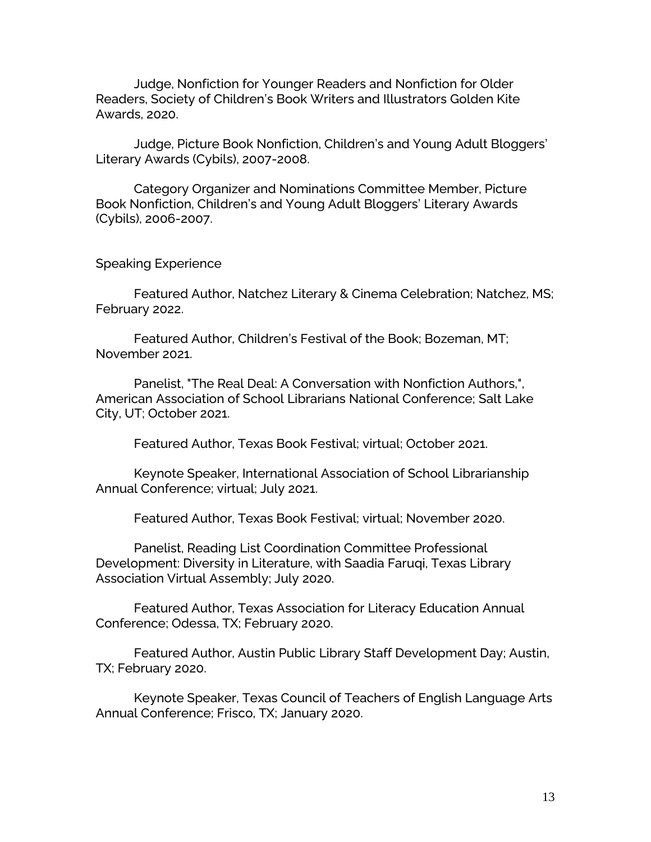Judge, Nonfiction for Younger Readers and Nonfiction for Older Readers, Society of Children's Book Writers and Illustrators Golden Kite Awards, 2020.

Judge, Picture Book Nonfiction, Children's and Young Adult Bloggers' Literary Awards (Cybils), 2007-2008.

Category Organizer and Nominations Committee Member, Picture Book Nonfiction, Children's and Young Adult Bloggers' Literary Awards (Cybils), 2006-2007.

Speaking Experience

Featured Author, Natchez Literary & Cinema Celebration; Natchez, MS; February 2022.

Featured Author, Children's Festival of the Book; Bozeman, MT; November 2021.

Panelist, "The Real Deal: A Conversation with Nonfiction Authors,", American Association of School Librarians National Conference; Salt Lake City, UT; October 2021.

Featured Author, Texas Book Festival; virtual; October 2021.

Keynote Speaker, International Association of School Librarianship Annual Conference; virtual; July 2021.

Featured Author, Texas Book Festival; virtual; November 2020.

Panelist, Reading List Coordination Committee Professional Development: Diversity in Literature, with Saadia Faruqi, Texas Library Association Virtual Assembly; July 2020.

Featured Author, Texas Association for Literacy Education Annual Conference; Odessa, TX; February 2020.

Featured Author, Austin Public Library Staff Development Day; Austin, TX; February 2020.

Keynote Speaker, Texas Council of Teachers of English Language Arts Annual Conference; Frisco, TX; January 2020.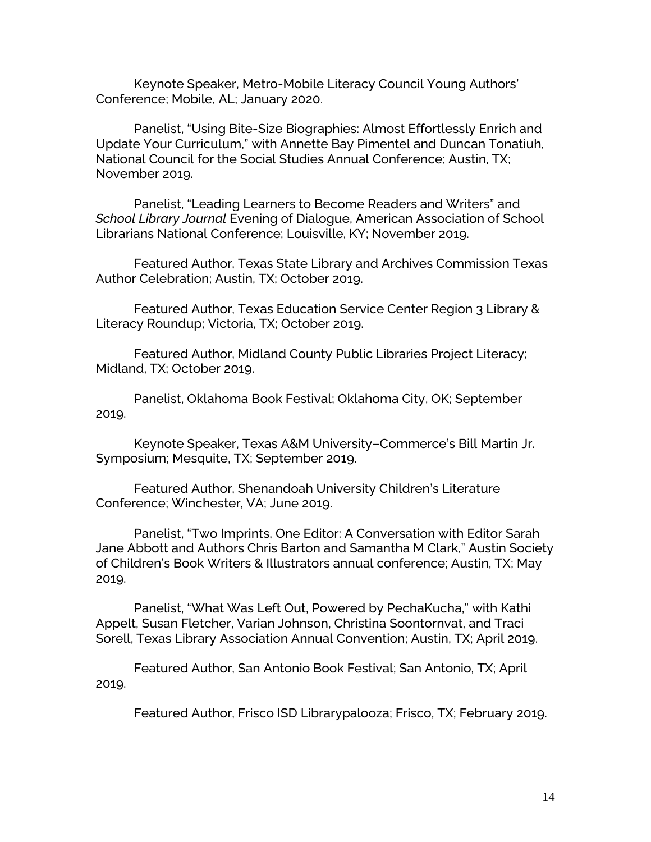Keynote Speaker, Metro-Mobile Literacy Council Young Authors' Conference; Mobile, AL; January 2020.

Panelist, "Using Bite-Size Biographies: Almost Effortlessly Enrich and Update Your Curriculum," with Annette Bay Pimentel and Duncan Tonatiuh, National Council for the Social Studies Annual Conference; Austin, TX; November 2019.

Panelist, "Leading Learners to Become Readers and Writers" and *School Library Journal* Evening of Dialogue, American Association of School Librarians National Conference; Louisville, KY; November 2019.

Featured Author, Texas State Library and Archives Commission Texas Author Celebration; Austin, TX; October 2019.

Featured Author, Texas Education Service Center Region 3 Library & Literacy Roundup; Victoria, TX; October 2019.

Featured Author, Midland County Public Libraries Project Literacy; Midland, TX; October 2019.

Panelist, Oklahoma Book Festival; Oklahoma City, OK; September 2019.

Keynote Speaker, Texas A&M University–Commerce's Bill Martin Jr. Symposium; Mesquite, TX; September 2019.

Featured Author, Shenandoah University Children's Literature Conference; Winchester, VA; June 2019.

Panelist, "Two Imprints, One Editor: A Conversation with Editor Sarah Jane Abbott and Authors Chris Barton and Samantha M Clark," Austin Society of Children's Book Writers & Illustrators annual conference; Austin, TX; May 2019.

Panelist, "What Was Left Out, Powered by PechaKucha," with Kathi Appelt, Susan Fletcher, Varian Johnson, Christina Soontornvat, and Traci Sorell, Texas Library Association Annual Convention; Austin, TX; April 2019.

Featured Author, San Antonio Book Festival; San Antonio, TX; April 2019.

Featured Author, Frisco ISD Librarypalooza; Frisco, TX; February 2019.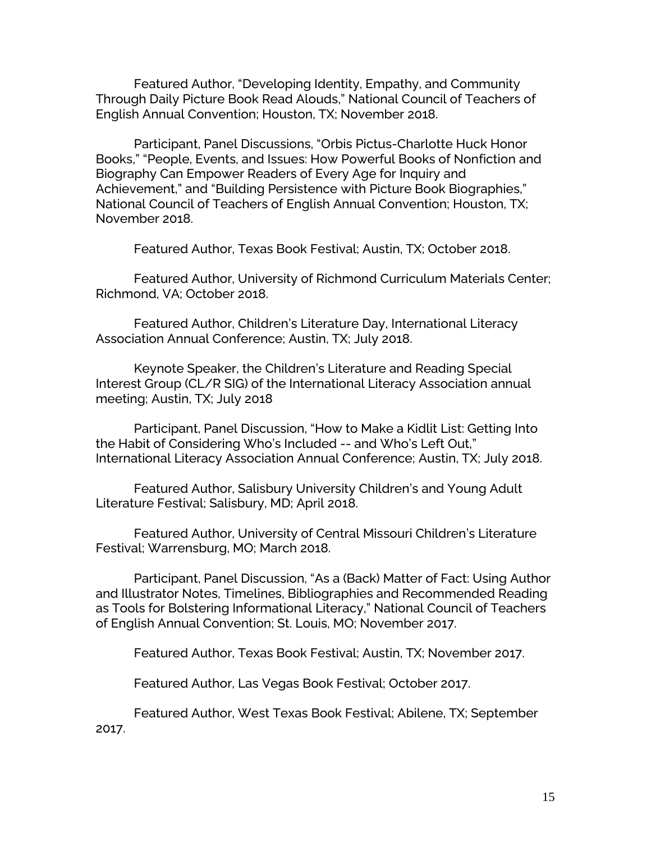Featured Author, "Developing Identity, Empathy, and Community Through Daily Picture Book Read Alouds," National Council of Teachers of English Annual Convention; Houston, TX; November 2018.

Participant, Panel Discussions, "Orbis Pictus-Charlotte Huck Honor Books," "People, Events, and Issues: How Powerful Books of Nonfiction and Biography Can Empower Readers of Every Age for Inquiry and Achievement," and "Building Persistence with Picture Book Biographies," National Council of Teachers of English Annual Convention; Houston, TX; November 2018.

Featured Author, Texas Book Festival; Austin, TX; October 2018.

Featured Author, University of Richmond Curriculum Materials Center; Richmond, VA; October 2018.

Featured Author, Children's Literature Day, International Literacy Association Annual Conference; Austin, TX; July 2018.

Keynote Speaker, the Children's Literature and Reading Special Interest Group (CL/R SIG) of the International Literacy Association annual meeting; Austin, TX; July 2018

Participant, Panel Discussion, "How to Make a Kidlit List: Getting Into the Habit of Considering Who's Included -- and Who's Left Out," International Literacy Association Annual Conference; Austin, TX; July 2018.

Featured Author, Salisbury University Children's and Young Adult Literature Festival; Salisbury, MD; April 2018.

Featured Author, University of Central Missouri Children's Literature Festival; Warrensburg, MO; March 2018.

Participant, Panel Discussion, "As a (Back) Matter of Fact: Using Author and Illustrator Notes, Timelines, Bibliographies and Recommended Reading as Tools for Bolstering Informational Literacy," National Council of Teachers of English Annual Convention; St. Louis, MO; November 2017.

Featured Author, Texas Book Festival; Austin, TX; November 2017.

Featured Author, Las Vegas Book Festival; October 2017.

Featured Author, West Texas Book Festival; Abilene, TX; September 2017.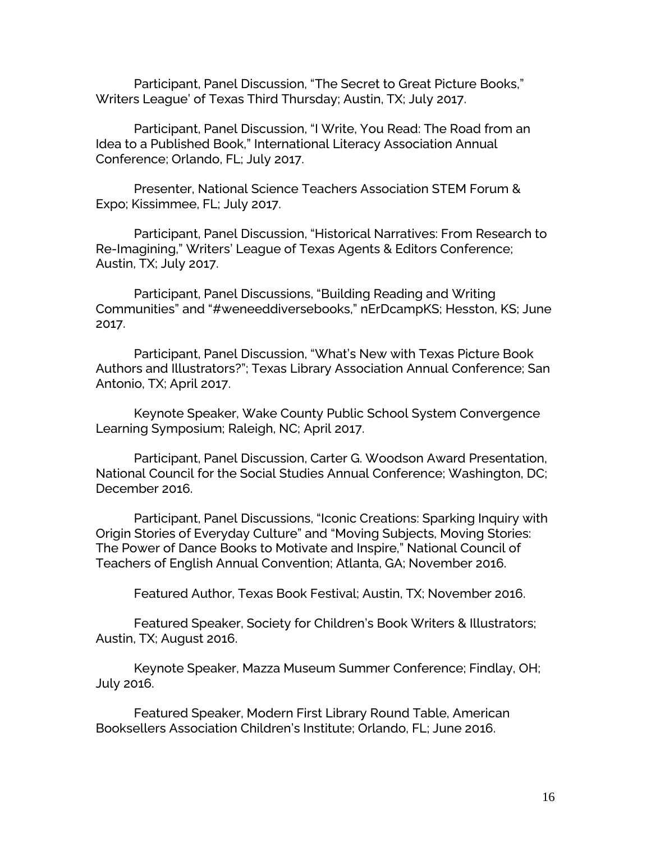Participant, Panel Discussion, "The Secret to Great Picture Books," Writers League' of Texas Third Thursday; Austin, TX; July 2017.

Participant, Panel Discussion, "I Write, You Read: The Road from an Idea to a Published Book," International Literacy Association Annual Conference; Orlando, FL; July 2017.

Presenter, National Science Teachers Association STEM Forum & Expo; Kissimmee, FL; July 2017.

Participant, Panel Discussion, "Historical Narratives: From Research to Re-Imagining," Writers' League of Texas Agents & Editors Conference; Austin, TX; July 2017.

Participant, Panel Discussions, "Building Reading and Writing Communities" and "#weneeddiversebooks," nErDcampKS; Hesston, KS; June 2017.

Participant, Panel Discussion, "What's New with Texas Picture Book Authors and Illustrators?"; Texas Library Association Annual Conference; San Antonio, TX; April 2017.

Keynote Speaker, Wake County Public School System Convergence Learning Symposium; Raleigh, NC; April 2017.

Participant, Panel Discussion, Carter G. Woodson Award Presentation, National Council for the Social Studies Annual Conference; Washington, DC; December 2016.

Participant, Panel Discussions, "Iconic Creations: Sparking Inquiry with Origin Stories of Everyday Culture" and "Moving Subjects, Moving Stories: The Power of Dance Books to Motivate and Inspire," National Council of Teachers of English Annual Convention; Atlanta, GA; November 2016.

Featured Author, Texas Book Festival; Austin, TX; November 2016.

Featured Speaker, Society for Children's Book Writers & Illustrators; Austin, TX; August 2016.

Keynote Speaker, Mazza Museum Summer Conference; Findlay, OH; July 2016.

Featured Speaker, Modern First Library Round Table, American Booksellers Association Children's Institute; Orlando, FL; June 2016.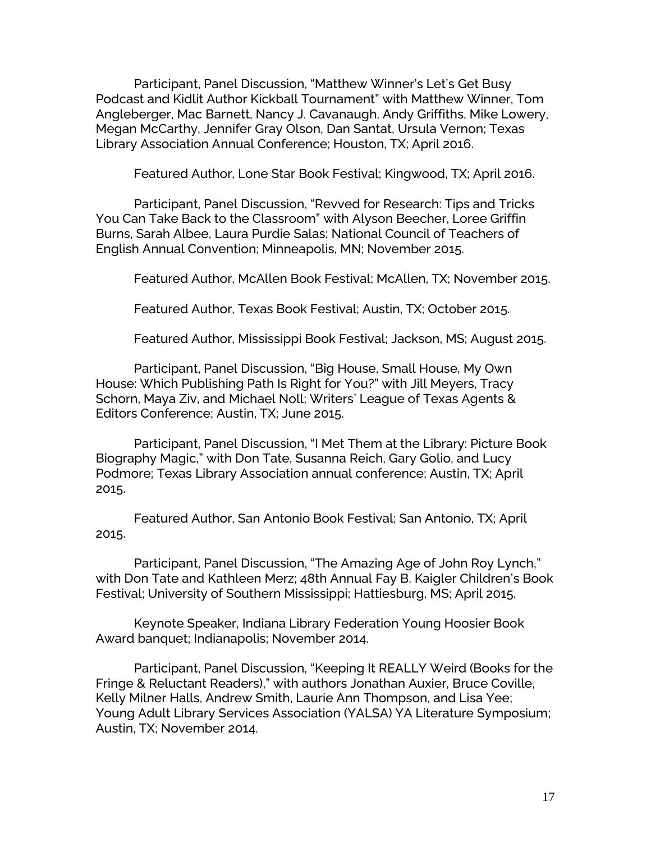Participant, Panel Discussion, "Matthew Winner's Let's Get Busy Podcast and Kidlit Author Kickball Tournament" with Matthew Winner, Tom Angleberger, Mac Barnett, Nancy J. Cavanaugh, Andy Griffiths, Mike Lowery, Megan McCarthy, Jennifer Gray Olson, Dan Santat, Ursula Vernon; Texas Library Association Annual Conference; Houston, TX; April 2016.

Featured Author, Lone Star Book Festival; Kingwood, TX; April 2016.

Participant, Panel Discussion, "Revved for Research: Tips and Tricks You Can Take Back to the Classroom" with Alyson Beecher, Loree Griffin Burns, Sarah Albee, Laura Purdie Salas; National Council of Teachers of English Annual Convention; Minneapolis, MN; November 2015.

Featured Author, McAllen Book Festival; McAllen, TX; November 2015.

Featured Author, Texas Book Festival; Austin, TX; October 2015.

Featured Author, Mississippi Book Festival; Jackson, MS; August 2015.

Participant, Panel Discussion, "Big House, Small House, My Own House: Which Publishing Path Is Right for You?" with Jill Meyers, Tracy Schorn, Maya Ziv, and Michael Noll; Writers' League of Texas Agents & Editors Conference; Austin, TX; June 2015.

Participant, Panel Discussion, "I Met Them at the Library: Picture Book Biography Magic," with Don Tate, Susanna Reich, Gary Golio, and Lucy Podmore; Texas Library Association annual conference; Austin, TX; April 2015.

Featured Author, San Antonio Book Festival; San Antonio, TX; April 2015.

Participant, Panel Discussion, "The Amazing Age of John Roy Lynch," with Don Tate and Kathleen Merz; 48th Annual Fay B. Kaigler Children's Book Festival; University of Southern Mississippi; Hattiesburg, MS; April 2015.

Keynote Speaker, Indiana Library Federation Young Hoosier Book Award banquet; Indianapolis; November 2014.

Participant, Panel Discussion, "Keeping It REALLY Weird (Books for the Fringe & Reluctant Readers)," with authors Jonathan Auxier, Bruce Coville, Kelly Milner Halls, Andrew Smith, Laurie Ann Thompson, and Lisa Yee; Young Adult Library Services Association (YALSA) YA Literature Symposium; Austin, TX; November 2014.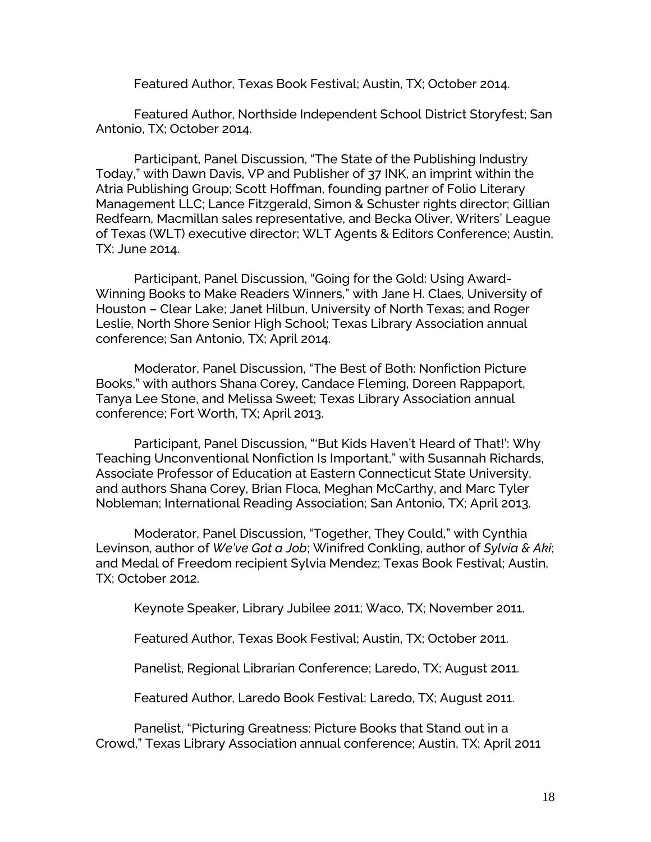Featured Author, Texas Book Festival; Austin, TX; October 2014.

Featured Author, Northside Independent School District Storyfest; San Antonio, TX; October 2014.

Participant, Panel Discussion, "The State of the Publishing Industry Today," with Dawn Davis, VP and Publisher of 37 INK, an imprint within the Atria Publishing Group; Scott Hoffman, founding partner of Folio Literary Management LLC; Lance Fitzgerald, Simon & Schuster rights director; Gillian Redfearn, Macmillan sales representative, and Becka Oliver, Writers' League of Texas (WLT) executive director; WLT Agents & Editors Conference; Austin, TX; June 2014.

Participant, Panel Discussion, "Going for the Gold: Using Award-Winning Books to Make Readers Winners," with Jane H. Claes, University of Houston – Clear Lake; Janet Hilbun, University of North Texas; and Roger Leslie, North Shore Senior High School; Texas Library Association annual conference; San Antonio, TX; April 2014.

Moderator, Panel Discussion, "The Best of Both: Nonfiction Picture Books," with authors Shana Corey, Candace Fleming, Doreen Rappaport, Tanya Lee Stone, and Melissa Sweet; Texas Library Association annual conference; Fort Worth, TX; April 2013.

Participant, Panel Discussion, "'But Kids Haven't Heard of That!': Why Teaching Unconventional Nonfiction Is Important," with Susannah Richards, Associate Professor of Education at Eastern Connecticut State University, and authors Shana Corey, Brian Floca, Meghan McCarthy, and Marc Tyler Nobleman; International Reading Association; San Antonio, TX; April 2013.

Moderator, Panel Discussion, "Together, They Could," with Cynthia Levinson, author of *We've Got a Job*; Winifred Conkling, author of *Sylvia & Aki*; and Medal of Freedom recipient Sylvia Mendez; Texas Book Festival; Austin, TX; October 2012.

Keynote Speaker, Library Jubilee 2011; Waco, TX; November 2011.

Featured Author, Texas Book Festival; Austin, TX; October 2011.

Panelist, Regional Librarian Conference; Laredo, TX; August 2011.

Featured Author, Laredo Book Festival; Laredo, TX; August 2011.

Panelist, "Picturing Greatness: Picture Books that Stand out in a Crowd," Texas Library Association annual conference; Austin, TX; April 2011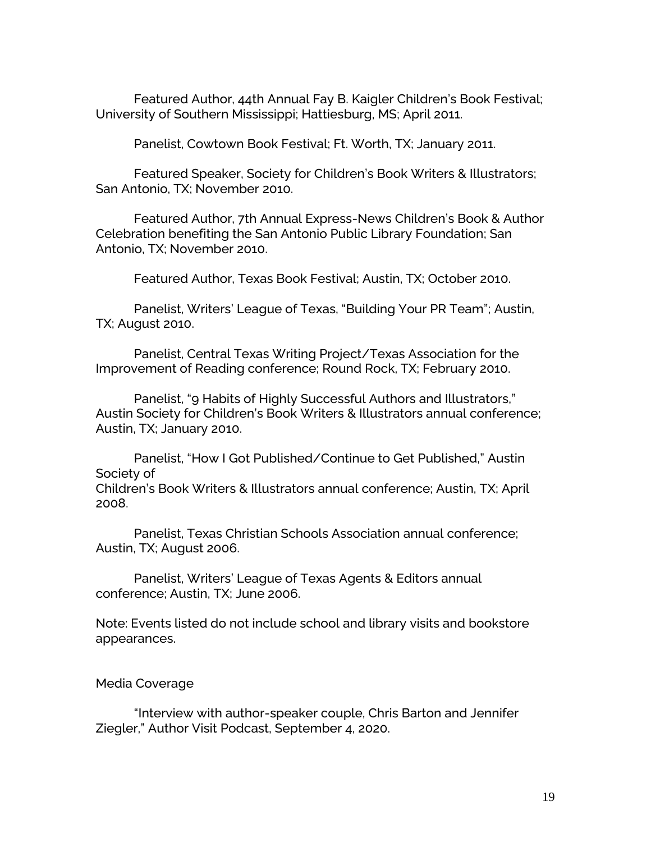Featured Author, 44th Annual Fay B. Kaigler Children's Book Festival; University of Southern Mississippi; Hattiesburg, MS; April 2011.

Panelist, Cowtown Book Festival; Ft. Worth, TX; January 2011.

Featured Speaker, Society for Children's Book Writers & Illustrators; San Antonio, TX; November 2010.

Featured Author, 7th Annual Express-News Children's Book & Author Celebration benefiting the San Antonio Public Library Foundation; San Antonio, TX; November 2010.

Featured Author, Texas Book Festival; Austin, TX; October 2010.

Panelist, Writers' League of Texas, "Building Your PR Team"; Austin, TX; August 2010.

Panelist, Central Texas Writing Project/Texas Association for the Improvement of Reading conference; Round Rock, TX; February 2010.

Panelist, "9 Habits of Highly Successful Authors and Illustrators," Austin Society for Children's Book Writers & Illustrators annual conference; Austin, TX; January 2010.

Panelist, "How I Got Published/Continue to Get Published," Austin Society of

Children's Book Writers & Illustrators annual conference; Austin, TX; April 2008.

Panelist, Texas Christian Schools Association annual conference; Austin, TX; August 2006.

Panelist, Writers' League of Texas Agents & Editors annual conference; Austin, TX; June 2006.

Note: Events listed do not include school and library visits and bookstore appearances.

## Media Coverage

"Interview with author-speaker couple, Chris Barton and Jennifer Ziegler," Author Visit Podcast, September 4, 2020.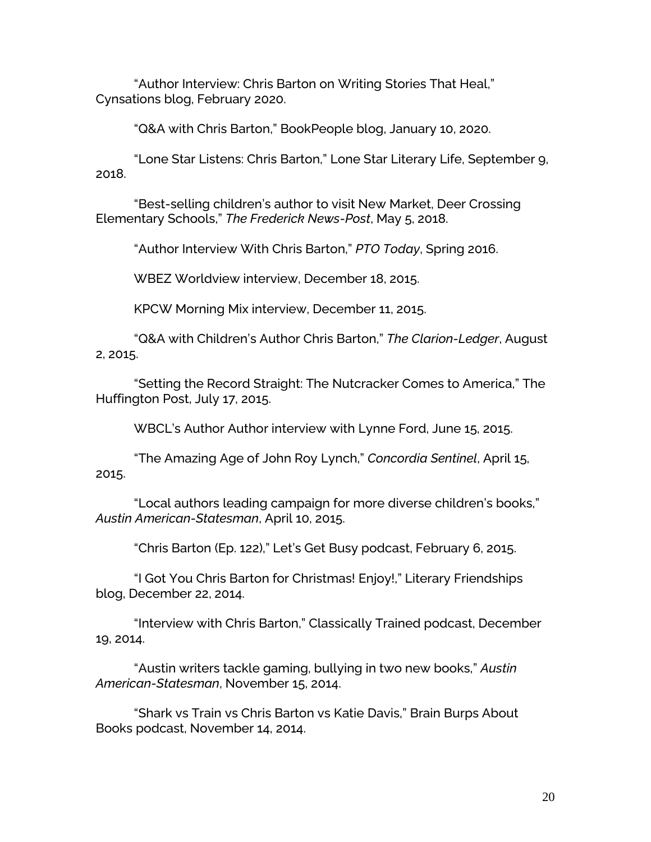"Author Interview: Chris Barton on Writing Stories That Heal," Cynsations blog, February 2020.

"Q&A with Chris Barton," BookPeople blog, January 10, 2020.

"Lone Star Listens: Chris Barton," Lone Star Literary Life, September 9, 2018.

"Best-selling children's author to visit New Market, Deer Crossing Elementary Schools," *The Frederick News-Post*, May 5, 2018.

"Author Interview With Chris Barton," *PTO Today*, Spring 2016.

WBEZ Worldview interview, December 18, 2015.

KPCW Morning Mix interview, December 11, 2015.

"Q&A with Children's Author Chris Barton," *The Clarion-Ledger*, August 2, 2015.

"Setting the Record Straight: The Nutcracker Comes to America," The Huffington Post, July 17, 2015.

WBCL's Author Author interview with Lynne Ford, June 15, 2015.

"The Amazing Age of John Roy Lynch," *Concordia Sentinel*, April 15, 2015.

"Local authors leading campaign for more diverse children's books," *Austin American-Statesman*, April 10, 2015.

"Chris Barton (Ep. 122)," Let's Get Busy podcast, February 6, 2015.

"I Got You Chris Barton for Christmas! Enjoy!," Literary Friendships blog, December 22, 2014.

"Interview with Chris Barton," Classically Trained podcast, December 19, 2014.

"Austin writers tackle gaming, bullying in two new books," *Austin American-Statesman*, November 15, 2014.

"Shark vs Train vs Chris Barton vs Katie Davis," Brain Burps About Books podcast, November 14, 2014.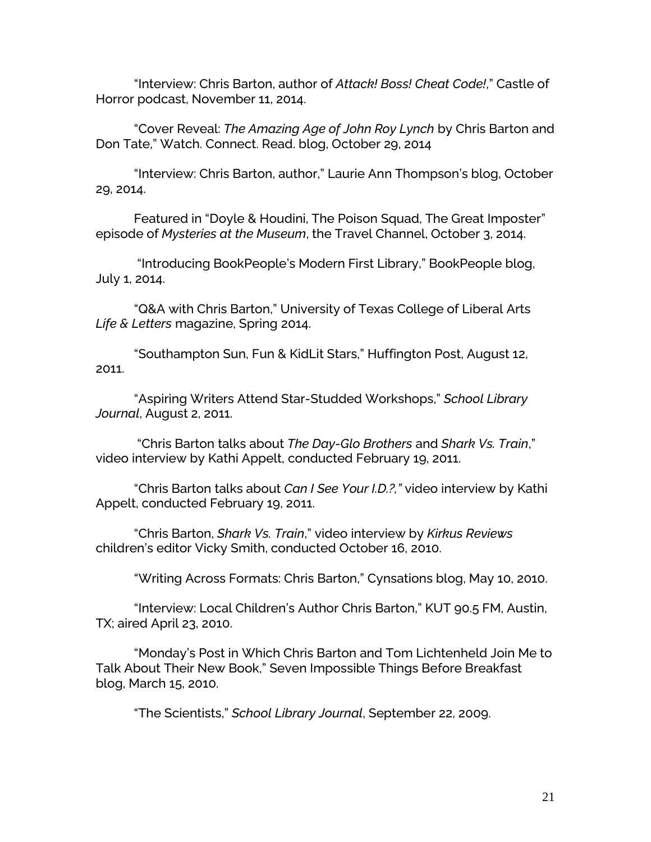"Interview: Chris Barton, author of *Attack! Boss! Cheat Code!*," Castle of Horror podcast, November 11, 2014.

"Cover Reveal: *The Amazing Age of John Roy Lynch* by Chris Barton and Don Tate," Watch. Connect. Read. blog, October 29, 2014

"Interview: Chris Barton, author," Laurie Ann Thompson's blog, October 29, 2014.

Featured in "Doyle & Houdini, The Poison Squad, The Great Imposter" episode of *Mysteries at the Museum*, the Travel Channel, October 3, 2014.

"Introducing BookPeople's Modern First Library," BookPeople blog, July 1, 2014.

"Q&A with Chris Barton," University of Texas College of Liberal Arts *Life & Letters* magazine, Spring 2014.

"Southampton Sun, Fun & KidLit Stars," Huffington Post, August 12, 2011.

"Aspiring Writers Attend Star-Studded Workshops," *School Library Journal*, August 2, 2011.

"Chris Barton talks about *The Day-Glo Brothers* and *Shark Vs. Train*," video interview by Kathi Appelt, conducted February 19, 2011.

"Chris Barton talks about *Can I See Your I.D.?,"* video interview by Kathi Appelt, conducted February 19, 2011.

"Chris Barton, *Shark Vs. Train*," video interview by *Kirkus Reviews* children's editor Vicky Smith, conducted October 16, 2010.

"Writing Across Formats: Chris Barton," Cynsations blog, May 10, 2010.

"Interview: Local Children's Author Chris Barton," KUT 90.5 FM, Austin, TX; aired April 23, 2010.

"Monday's Post in Which Chris Barton and Tom Lichtenheld Join Me to Talk About Their New Book," Seven Impossible Things Before Breakfast blog, March 15, 2010.

"The Scientists," *School Library Journal*, September 22, 2009.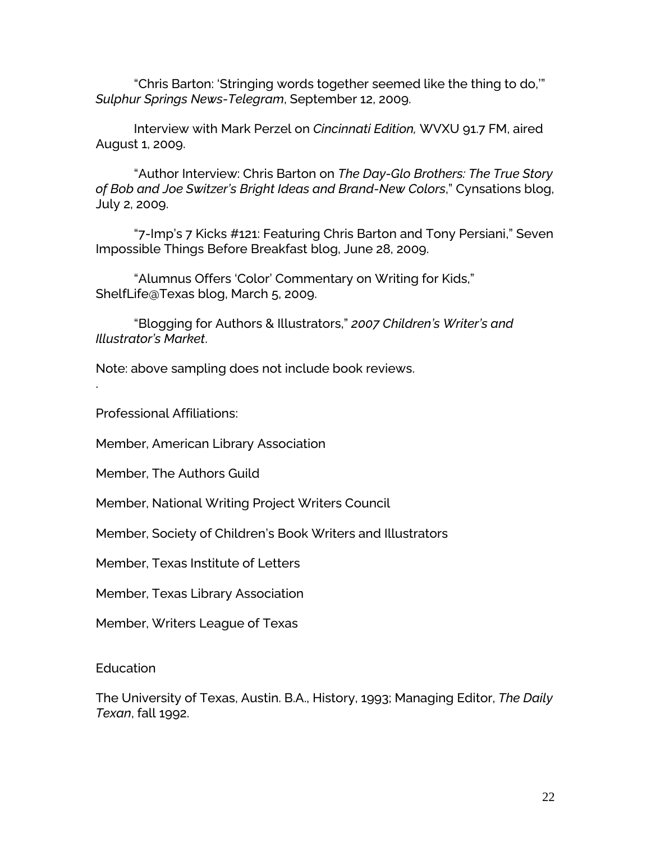"Chris Barton: 'Stringing words together seemed like the thing to do,'" *Sulphur Springs News-Telegram*, September 12, 2009.

Interview with Mark Perzel on *Cincinnati Edition,* WVXU 91.7 FM, aired August 1, 2009.

"Author Interview: Chris Barton on *The Day-Glo Brothers: The True Story of Bob and Joe Switzer's Bright Ideas and Brand-New Colors*," Cynsations blog, July 2, 2009.

"7-Imp's 7 Kicks #121: Featuring Chris Barton and Tony Persiani," Seven Impossible Things Before Breakfast blog, June 28, 2009.

"Alumnus Offers 'Color' Commentary on Writing for Kids," ShelfLife@Texas blog, March 5, 2009.

"Blogging for Authors & Illustrators," *2007 Children's Writer's and Illustrator's Market*.

Note: above sampling does not include book reviews.

Professional Affiliations:

.

Member, American Library Association

Member, The Authors Guild

Member, National Writing Project Writers Council

Member, Society of Children's Book Writers and Illustrators

Member, Texas Institute of Letters

Member, Texas Library Association

Member, Writers League of Texas

Education

The University of Texas, Austin. B.A., History, 1993; Managing Editor, *The Daily Texan*, fall 1992.